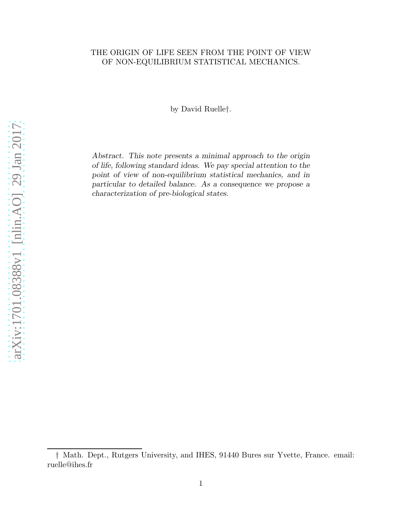# THE ORIGIN OF LIFE SEEN FROM THE POINT OF VIEW OF NON-EQUILIBRIUM STATISTICAL MECHANICS.

by David Ruelle†.

Abstract. This note presents a minimal approach to the origin of life, following standard ideas. We pay special attention to the point of view of non-equilibrium statistical mechanics, and in particular to detailed balance. As a consequence we propose a characterization of pre-biological states.

<sup>†</sup> Math. Dept., Rutgers University, and IHES, 91440 Bures sur Yvette, France. email: ruelle@ihes.fr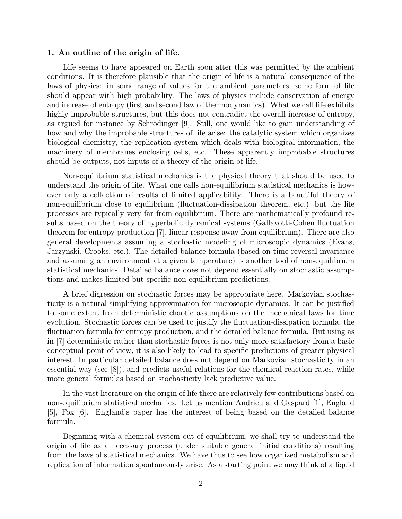### 1. An outline of the origin of life.

Life seems to have appeared on Earth soon after this was permitted by the ambient conditions. It is therefore plausible that the origin of life is a natural consequence of the laws of physics: in some range of values for the ambient parameters, some form of life should appear with high probability. The laws of physics include conservation of energy and increase of entropy (first and second law of thermodynamics). What we call life exhibits highly improbable structures, but this does not contradict the overall increase of entropy, as argued for instance by Schrödinger [9]. Still, one would like to gain understanding of how and why the improbable structures of life arise: the catalytic system which organizes biological chemistry, the replication system which deals with biological information, the machinery of membranes enclosing cells, etc. These apparently improbable structures should be outputs, not inputs of a theory of the origin of life.

Non-equilibrium statistical mechanics is the physical theory that should be used to understand the origin of life. What one calls non-equilibrium statistical mechanics is however only a collection of results of limited applicability. There is a beautiful theory of non-equilibrium close to equilibrium (fluctuation-dissipation theorem, etc.) but the life processes are typically very far from equilibrium. There are mathematically profound results based on the theory of hyperbolic dynamical systems (Gallavotti-Cohen fluctuation theorem for entropy production [7], linear response away from equilibrium). There are also general developments assuming a stochastic modeling of microscopic dynamics (Evans, Jarzynski, Crooks, etc.). The detailed balance formula (based on time-reversal invariance and assuming an environment at a given temperature) is another tool of non-equilibrium statistical mechanics. Detailed balance does not depend essentially on stochastic assumptions and makes limited but specific non-equilibrium predictions.

A brief digression on stochastic forces may be appropriate here. Markovian stochasticity is a natural simplifying approximation for microscopic dynamics. It can be justified to some extent from deterministic chaotic assumptions on the mechanical laws for time evolution. Stochastic forces can be used to justify the fluctuation-dissipation formula, the fluctuation formula for entropy production, and the detailed balance formula. But using as in [7] deterministic rather than stochastic forces is not only more satisfactory from a basic conceptual point of view, it is also likely to lead to specific predictions of greater physical interest. In particular detailed balance does not depend on Markovian stochasticity in an essential way (see [8]), and predicts useful relations for the chemical reaction rates, while more general formulas based on stochasticity lack predictive value.

In the vast literature on the origin of life there are relatively few contributions based on non-equilibrium statistical mechanics. Let us mention Andrieu and Gaspard [1], England [5], Fox [6]. England's paper has the interest of being based on the detailed balance formula.

Beginning with a chemical system out of equilibrium, we shall try to understand the origin of life as a necessary process (under suitable general initial conditions) resulting from the laws of statistical mechanics. We have thus to see how organized metabolism and replication of information spontaneously arise. As a starting point we may think of a liquid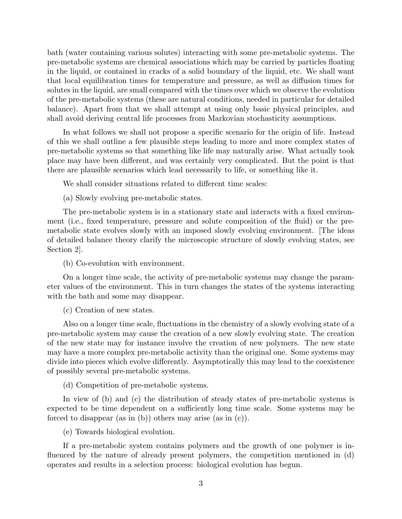bath (water containing various solutes) interacting with some pre-metabolic systems. The pre-metabolic systems are chemical associations which may be carried by particles floating in the liquid, or contained in cracks of a solid boundary of the liquid, etc. We shall want that local equilibration times for temperature and pressure, as well as diffusion times for solutes in the liquid, are small compared with the times over which we observe the evolution of the pre-metabolic systems (these are natural conditions, needed in particular for detailed balance). Apart from that we shall attempt at using only basic physical principles, and shall avoid deriving central life processes from Markovian stochasticity assumptions.

In what follows we shall not propose a specific scenario for the origin of life. Instead of this we shall outline a few plausible steps leading to more and more complex states of pre-metabolic systems so that something like life may naturally arise. What actually took place may have been different, and was certainly very complicated. But the point is that there are plausible scenarios which lead necessarily to life, or something like it.

We shall consider situations related to different time scales:

(a) Slowly evolving pre-metabolic states.

The pre-metabolic system is in a stationary state and interacts with a fixed environment (i.e., fixed temperature, pressure and solute composition of the fluid) or the premetabolic state evolves slowly with an imposed slowly evolving environment. [The ideas of detailed balance theory clarify the microscopic structure of slowly evolving states, see Section 2].

(b) Co-evolution with environment.

On a longer time scale, the activity of pre-metabolic systems may change the parameter values of the environment. This in turn changes the states of the systems interacting with the bath and some may disappear.

(c) Creation of new states.

Also on a longer time scale, fluctuations in the chemistry of a slowly evolving state of a pre-metabolic system may cause the creation of a new slowly evolving state. The creation of the new state may for instance involve the creation of new polymers. The new state may have a more complex pre-metabolic activity than the original one. Some systems may divide into pieces which evolve differently. Asymptotically this may lead to the coexistence of possibly several pre-metabolic systems.

(d) Competition of pre-metabolic systems.

In view of (b) and (c) the distribution of steady states of pre-metabolic systems is expected to be time dependent on a sufficiently long time scale. Some systems may be forced to disappear (as in (b)) others may arise (as in (c)).

(e) Towards biological evolution.

If a pre-metabolic system contains polymers and the growth of one polymer is influenced by the nature of already present polymers, the competition mentioned in (d) operates and results in a selection process: biological evolution has begun.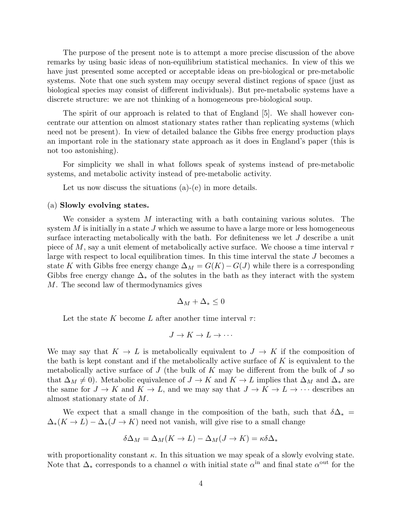The purpose of the present note is to attempt a more precise discussion of the above remarks by using basic ideas of non-equilibrium statistical mechanics. In view of this we have just presented some accepted or acceptable ideas on pre-biological or pre-metabolic systems. Note that one such system may occupy several distinct regions of space (just as biological species may consist of different individuals). But pre-metabolic systems have a discrete structure: we are not thinking of a homogeneous pre-biological soup.

The spirit of our approach is related to that of England [5]. We shall however concentrate our attention on almost stationary states rather than replicating systems (which need not be present). In view of detailed balance the Gibbs free energy production plays an important role in the stationary state approach as it does in England's paper (this is not too astonishing).

For simplicity we shall in what follows speak of systems instead of pre-metabolic systems, and metabolic activity instead of pre-metabolic activity.

Let us now discuss the situations (a)-(e) in more details.

## (a) Slowly evolving states.

We consider a system M interacting with a bath containing various solutes. The system  $M$  is initially in a state  $J$  which we assume to have a large more or less homogeneous surface interacting metabolically with the bath. For definiteness we let  $J$  describe a unit piece of M, say a unit element of metabolically active surface. We choose a time interval  $\tau$ large with respect to local equilibration times. In this time interval the state J becomes a state K with Gibbs free energy change  $\Delta_M = G(K) - G(J)$  while there is a corresponding Gibbs free energy change  $\Delta_*$  of the solutes in the bath as they interact with the system M. The second law of thermodynamics gives

$$
\Delta_M + \Delta_* \leq 0
$$

Let the state K become L after another time interval  $\tau$ :

$$
J \to K \to L \to \cdots
$$

We may say that  $K \to L$  is metabolically equivalent to  $J \to K$  if the composition of the bath is kept constant and if the metabolically active surface of  $K$  is equivalent to the metabolically active surface of  $J$  (the bulk of  $K$  may be different from the bulk of  $J$  so that  $\Delta_M \neq 0$ . Metabolic equivalence of  $J \to K$  and  $K \to L$  implies that  $\Delta_M$  and  $\Delta_*$  are the same for  $J \to K$  and  $K \to L$ , and we may say that  $J \to K \to L \to \cdots$  describes an almost stationary state of M.

We expect that a small change in the composition of the bath, such that  $\delta\Delta_*$  =  $\Delta_*(K \to L) - \Delta_*(J \to K)$  need not vanish, will give rise to a small change

$$
\delta \Delta_M = \Delta_M (K \to L) - \Delta_M (J \to K) = \kappa \delta \Delta_*
$$

with proportionality constant  $\kappa$ . In this situation we may speak of a slowly evolving state. Note that  $\Delta_*$  corresponds to a channel  $\alpha$  with initial state  $\alpha^{\text{in}}$  and final state  $\alpha^{\text{out}}$  for the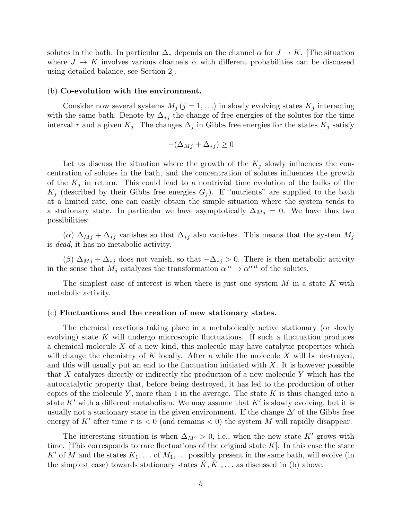solutes in the bath. In particular  $\Delta_*$  depends on the channel  $\alpha$  for  $J \to K$ . [The situation where  $J \to K$  involves various channels  $\alpha$  with different probabilities can be discussed using detailed balance, see Section 2].

#### (b) Co-evolution with the environment.

Consider now several systems  $M_j$   $(j = 1, \ldots)$  in slowly evolving states  $K_j$  interacting with the same bath. Denote by  $\Delta_{*j}$  the change of free energies of the solutes for the time interval  $\tau$  and a given  $K_j$ . The changes  $\Delta_j$  in Gibbs free energies for the states  $K_j$  satisfy

$$
-(\Delta_{Mj} + \Delta_{*j}) \ge 0
$$

Let us discuss the situation where the growth of the  $K_j$  slowly influences the concentration of solutes in the bath, and the concentration of solutes influences the growth of the  $K_j$  in return. This could lead to a nontrivial time evolution of the bulks of the  $K_i$  (described by their Gibbs free energies  $G_i$ ). If "nutrients" are supplied to the bath at a limited rate, one can easily obtain the simple situation where the system tends to a stationary state. In particular we have asymptotically  $\Delta_{Mj} = 0$ . We have thus two possibilities:

 $(\alpha)$   $\Delta_{Mj}$  +  $\Delta_{*j}$  vanishes so that  $\Delta_{*j}$  also vanishes. This means that the system  $M_j$ is *dead*, it has no metabolic activity.

 $(\beta)$   $\Delta_{Mj} + \Delta_{*j}$  does not vanish, so that  $-\Delta_{*j} > 0$ . There is then metabolic activity in the sense that  $\tilde{M}_j$  catalyzes the transformation  $\alpha^{\text{in}} \to \alpha^{\text{out}}$  of the solutes.

The simplest case of interest is when there is just one system M in a state K with metabolic activity.

#### (c) Fluctuations and the creation of new stationary states.

The chemical reactions taking place in a metabolically active stationary (or slowly evolving) state K will undergo microscopic fluctuations. If such a fluctuation produces a chemical molecule X of a new kind, this molecule may have catalytic properties which will change the chemistry of  $K$  locally. After a while the molecule  $X$  will be destroyed, and this will usually put an end to the fluctuation initiated with  $X$ . It is however possible that X catalyzes directly or indirectly the production of a new molecule Y which has the autocatalytic property that, before being destroyed, it has led to the production of other copies of the molecule Y, more than 1 in the average. The state  $K$  is thus changed into a state  $K'$  with a different metabolism. We may assume that  $K'$  is slowly evolving, but it is usually not a stationary state in the given environment. If the change  $\Delta'$  of the Gibbs free energy of K' after time  $\tau$  is  $\lt 0$  (and remains  $\lt 0$ ) the system M will rapidly disappear.

The interesting situation is when  $\Delta_{M'} > 0$ , i.e., when the new state K' grows with time. This corresponds to rare fluctuations of the original state  $K$ . In this case the state K' of M and the states  $K_1, \ldots$  of  $M_1, \ldots$  possibly present in the same bath, will evolve (in the simplest case) towards stationary states  $\tilde{K}, \tilde{K}_1, \ldots$  as discussed in (b) above.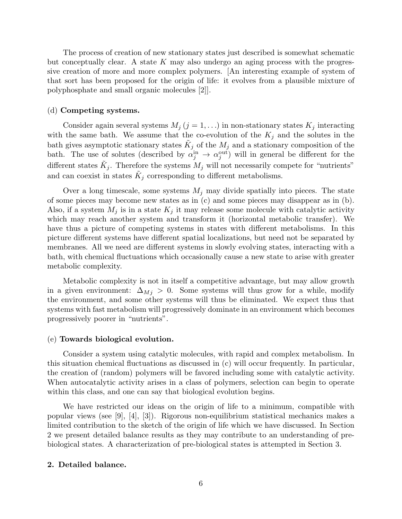The process of creation of new stationary states just described is somewhat schematic but conceptually clear. A state  $K$  may also undergo an aging process with the progressive creation of more and more complex polymers. [An interesting example of system of that sort has been proposed for the origin of life: it evolves from a plausible mixture of polyphosphate and small organic molecules [2]].

### (d) Competing systems.

Consider again several systems  $M_j$   $(j = 1, \ldots)$  in non-stationary states  $K_j$  interacting with the same bath. We assume that the co-evolution of the  $K_j$  and the solutes in the bath gives asymptotic stationary states  $\tilde{K}_j$  of the  $M_j$  and a stationary composition of the bath. The use of solutes (described by  $\alpha_j^{\text{in}} \to \alpha_j^{\text{out}}$  $_j^{\text{out}}$ ) will in general be different for the different states  $\tilde{K}_j$ . Therefore the systems  $M_j$  will not necessarily compete for "nutrients" and can coexist in states  $\tilde{K}_j$  corresponding to different metabolisms.

Over a long timescale, some systems  $M_i$  may divide spatially into pieces. The state of some pieces may become new states as in (c) and some pieces may disappear as in (b). Also, if a system  $M_j$  is in a state  $K_j$  it may release some molecule with catalytic activity which may reach another system and transform it (horizontal metabolic transfer). We have thus a picture of competing systems in states with different metabolisms. In this picture different systems have different spatial localizations, but need not be separated by membranes. All we need are different systems in slowly evolving states, interacting with a bath, with chemical fluctuations which occasionally cause a new state to arise with greater metabolic complexity.

Metabolic complexity is not in itself a competitive advantage, but may allow growth in a given environment:  $\Delta_{Mj} > 0$ . Some systems will thus grow for a while, modify the environment, and some other systems will thus be eliminated. We expect thus that systems with fast metabolism will progressively dominate in an environment which becomes progressively poorer in "nutrients".

## (e) Towards biological evolution.

Consider a system using catalytic molecules, with rapid and complex metabolism. In this situation chemical fluctuations as discussed in (c) will occur frequently. In particular, the creation of (random) polymers will be favored including some with catalytic activity. When autocatalytic activity arises in a class of polymers, selection can begin to operate within this class, and one can say that biological evolution begins.

We have restricted our ideas on the origin of life to a minimum, compatible with popular views (see [9], [4], [3]). Rigorous non-equilibrium statistical mechanics makes a limited contribution to the sketch of the origin of life which we have discussed. In Section 2 we present detailed balance results as they may contribute to an understanding of prebiological states. A characterization of pre-biological states is attempted in Section 3.

# 2. Detailed balance.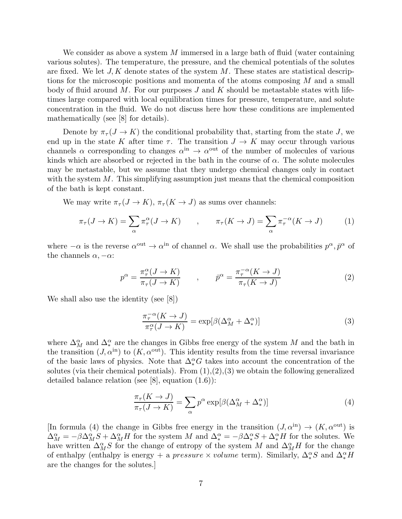We consider as above a system M immersed in a large bath of fluid (water containing various solutes). The temperature, the pressure, and the chemical potentials of the solutes are fixed. We let  $J, K$  denote states of the system M. These states are statistical descriptions for the microscopic positions and momenta of the atoms composing M and a small body of fluid around M. For our purposes  $J$  and  $K$  should be metastable states with lifetimes large compared with local equilibration times for pressure, temperature, and solute concentration in the fluid. We do not discuss here how these conditions are implemented mathematically (see [8] for details).

Denote by  $\pi_{\tau}(J \to K)$  the conditional probability that, starting from the state J, we end up in the state K after time  $\tau$ . The transition  $J \to K$  may occur through various channels  $\alpha$  corresponding to changes  $\alpha^{\text{in}} \to \alpha^{\text{out}}$  of the number of molecules of various kinds which are absorbed or rejected in the bath in the course of  $\alpha$ . The solute molecules may be metastable, but we assume that they undergo chemical changes only in contact with the system  $M$ . This simplifying assumption just means that the chemical composition of the bath is kept constant.

We may write  $\pi_{\tau}(J \to K), \pi_{\tau}(K \to J)$  as sums over channels:

$$
\pi_{\tau}(J \to K) = \sum_{\alpha} \pi_{\tau}^{\alpha}(J \to K) \qquad , \qquad \pi_{\tau}(K \to J) = \sum_{\alpha} \pi_{\tau}^{-\alpha}(K \to J) \qquad (1)
$$

where  $-\alpha$  is the reverse  $\alpha^{\text{out}} \to \alpha^{\text{in}}$  of channel  $\alpha$ . We shall use the probabilities  $p^{\alpha}, \bar{p}^{\alpha}$  of the channels  $\alpha, -\alpha$ :

$$
p^{\alpha} = \frac{\pi_{\tau}^{\alpha}(J \to K)}{\pi_{\tau}(J \to K)} \qquad , \qquad \bar{p}^{\alpha} = \frac{\pi_{\tau}^{-\alpha}(K \to J)}{\pi_{\tau}(K \to J)} \tag{2}
$$

We shall also use the identity (see [8])

$$
\frac{\pi_{\tau}^{-\alpha}(K \to J)}{\pi_{\tau}^{\alpha}(J \to K)} = \exp[\beta(\Delta_M^{\alpha} + \Delta_*^{\alpha})]
$$
\n(3)

where  $\Delta_M^{\alpha}$  and  $\Delta_*^{\alpha}$  are the changes in Gibbs free energy of the system M and the bath in the transition  $(J, \alpha^{\text{in}})$  to  $(K, \alpha^{\text{out}})$ . This identity results from the time reversal invariance of the basic laws of physics. Note that  $\Delta_*^{\alpha}$  G takes into account the concentration of the solutes (via their chemical potentials). From  $(1),(2),(3)$  we obtain the following generalized detailed balance relation (see [8], equation (1.6)):

$$
\frac{\pi_{\tau}(K \to J)}{\pi_{\tau}(J \to K)} = \sum_{\alpha} p^{\alpha} \exp[\beta(\Delta_M^{\alpha} + \Delta_*^{\alpha})]
$$
(4)

[In formula (4) the change in Gibbs free energy in the transition  $(J, \alpha^{\text{in}}) \rightarrow (K, \alpha^{\text{out}})$  is  $\Delta_M^{\alpha} = -\beta \Delta_M^{\alpha} S + \Delta_M^{\alpha} H$  for the system M and  $\Delta_*^{\alpha} = -\beta \Delta_*^{\alpha} S + \Delta_*^{\alpha} H$  for the solutes. We have written  $\Delta_M^{\alpha} S$  for the change of entropy of the system M and  $\Delta_M^{\alpha} H$  for the change of enthalpy (enthalpy is energy + a pressure  $\times$  volume term). Similarly,  $\Delta_*^{\alpha} S$  and  $\Delta_*^{\alpha} H$ are the changes for the solutes.]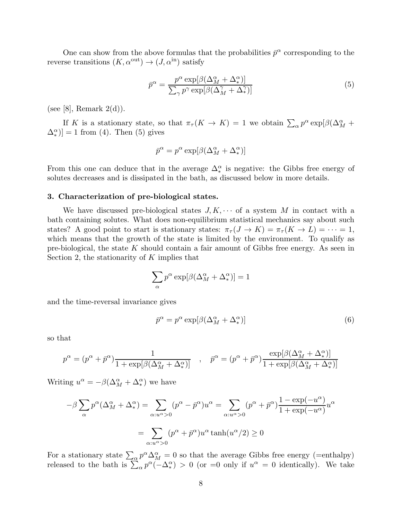One can show from the above formulas that the probabilities  $\bar{p}^{\alpha}$  corresponding to the reverse transitions  $(K, \alpha^{\text{out}}) \to (J, \alpha^{\text{in}})$  satisfy

$$
\bar{p}^{\alpha} = \frac{p^{\alpha} \exp[\beta(\Delta_M^{\alpha} + \Delta_*^{\alpha})]}{\sum_{\gamma} p^{\gamma} \exp[\beta(\Delta_M^{\gamma} + \Delta_*^{\gamma})]}
$$
(5)

(see [8], Remark  $2(d)$ ).

If K is a stationary state, so that  $\pi_{\tau}(K \to K) = 1$  we obtain  $\sum_{\alpha} p^{\alpha} \exp[\beta(\Delta_M^{\alpha} +$  $(\Delta_{\ast}^{\alpha})$ ] = 1 from (4). Then (5) gives

$$
\bar{p}^\alpha = p^\alpha \exp[\beta (\Delta_M^\alpha + \Delta_*^\alpha)]
$$

From this one can deduce that in the average  $\Delta_*^{\alpha}$  is negative: the Gibbs free energy of solutes decreases and is dissipated in the bath, as discussed below in more details.

#### 3. Characterization of pre-biological states.

We have discussed pre-biological states  $J, K, \cdots$  of a system M in contact with a bath containing solutes. What does non-equilibrium statistical mechanics say about such states? A good point to start is stationary states:  $\pi_{\tau}(J \to K) = \pi_{\tau}(K \to L) = \cdots = 1$ , which means that the growth of the state is limited by the environment. To qualify as pre-biological, the state  $K$  should contain a fair amount of Gibbs free energy. As seen in Section 2, the stationarity of  $K$  implies that

$$
\sum_{\alpha} p^{\alpha} \exp[\beta (\Delta_M^{\alpha} + \Delta_*^{\alpha})] = 1
$$

and the time-reversal invariance gives

$$
\bar{p}^{\alpha} = p^{\alpha} \exp[\beta(\Delta_M^{\alpha} + \Delta_*^{\alpha})] \tag{6}
$$

so that

$$
p^{\alpha} = (p^{\alpha} + \bar{p}^{\alpha}) \frac{1}{1 + \exp[\beta(\Delta_M^{\alpha} + \Delta_*^{\alpha})]} , \quad \bar{p}^{\alpha} = (p^{\alpha} + \bar{p}^{\alpha}) \frac{\exp[\beta(\Delta_M^{\alpha} + \Delta_*^{\alpha})]}{1 + \exp[\beta(\Delta_M^{\alpha} + \Delta_*^{\alpha})]}
$$

Writing  $u^{\alpha} = -\beta(\Delta_M^{\alpha} + \Delta_*^{\alpha})$  we have

$$
-\beta \sum_{\alpha} p^{\alpha} (\Delta_M^{\alpha} + \Delta_*^{\alpha}) = \sum_{\alpha: u^{\alpha} > 0} (p^{\alpha} - \bar{p}^{\alpha}) u^{\alpha} = \sum_{\alpha: u^{\alpha} > 0} (p^{\alpha} + \bar{p}^{\alpha}) \frac{1 - \exp(-u^{\alpha})}{1 + \exp(-u^{\alpha})} u^{\alpha}
$$

$$
= \sum_{\alpha: u^{\alpha} > 0} (p^{\alpha} + \bar{p}^{\alpha}) u^{\alpha} \tanh(u^{\alpha}/2) \ge 0
$$

For a stationary state  $\sum_{\alpha} p^{\alpha} \Delta_M^{\alpha} = 0$  so that the average Gibbs free energy (=enthalpy) released to the bath is  $\sum_{\alpha} p^{\alpha}(-\Delta_{*}^{\alpha}) > 0$  (or =0 only if  $u^{\alpha} = 0$  identically). We take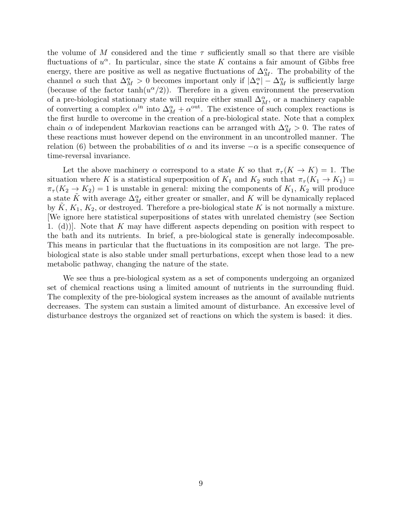the volume of M considered and the time  $\tau$  sufficiently small so that there are visible fluctuations of  $u^{\alpha}$ . In particular, since the state K contains a fair amount of Gibbs free energy, there are positive as well as negative fluctuations of  $\Delta_M^{\alpha}$ . The probability of the channel  $\alpha$  such that  $\Delta_M^{\alpha} > 0$  becomes important only if  $|\Delta_{*}^{\alpha}| - \Delta_M^{\alpha}$  is sufficiently large (because of the factor  $tanh(u^{\alpha}/2)$ ). Therefore in a given environment the preservation of a pre-biological stationary state will require either small  $\Delta_M^{\alpha}$ , or a machinery capable of converting a complex  $\alpha^{\text{in}}$  into  $\Delta_M^{\alpha} + \alpha^{\text{out}}$ . The existence of such complex reactions is the first hurdle to overcome in the creation of a pre-biological state. Note that a complex chain  $\alpha$  of independent Markovian reactions can be arranged with  $\Delta_M^{\alpha} > 0$ . The rates of these reactions must however depend on the environment in an uncontrolled manner. The relation (6) between the probabilities of  $\alpha$  and its inverse  $-\alpha$  is a specific consequence of time-reversal invariance.

Let the above machinery  $\alpha$  correspond to a state K so that  $\pi<sub>\tau</sub>(K \to K) = 1$ . The situation where K is a statistical superposition of  $K_1$  and  $K_2$  such that  $\pi_\tau(K_1 \to K_1)$  =  $\pi_{\tau}(K_2 \to K_2) = 1$  is unstable in general: mixing the components of  $K_1, K_2$  will produce a state  $\tilde{K}$  with average  $\Delta_M^{\alpha}$  either greater or smaller, and  $\tilde{K}$  will be dynamically replaced by  $K, K_1, K_2$ , or destroyed. Therefore a pre-biological state K is not normally a mixture. [We ignore here statistical superpositions of states with unrelated chemistry (see Section 1. (d)). Note that K may have different aspects depending on position with respect to the bath and its nutrients. In brief, a pre-biological state is generally indecomposable. This means in particular that the fluctuations in its composition are not large. The prebiological state is also stable under small perturbations, except when those lead to a new metabolic pathway, changing the nature of the state.

We see thus a pre-biological system as a set of components undergoing an organized set of chemical reactions using a limited amount of nutrients in the surrounding fluid. The complexity of the pre-biological system increases as the amount of available nutrients decreases. The system can sustain a limited amount of disturbance. An excessive level of disturbance destroys the organized set of reactions on which the system is based: it dies.